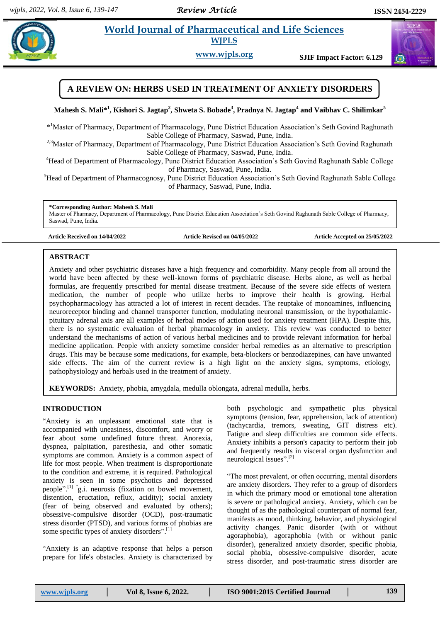$\left(\mathbf{u}\right)$ 

# **Paramaceutical and Life Sciences**

**WJPLS**

**www.wjpls.org SJIF Impact Factor: 6.129**

# **A REVIEW ON: HERBS USED IN TREATMENT OF ANXIETY DISORDERS**

**Mahesh S. Mali\*<sup>1</sup> , Kishori S. Jagtap<sup>2</sup> , Shweta S. Bobade<sup>3</sup> , Pradnya N. Jagtap<sup>4</sup> and Vaibhav C. Shilimkar<sup>5</sup>**

\* <sup>1</sup>Master of Pharmacy, Department of Pharmacology, Pune District Education Association's Seth Govind Raghunath Sable College of Pharmacy, Saswad, Pune, India.

<sup>2,3</sup>Master of Pharmacy, Department of Pharmacology, Pune District Education Association's Seth Govind Raghunath Sable College of Pharmacy, Saswad, Pune, India.

<sup>4</sup>Head of Department of Pharmacology, Pune District Education Association's Seth Govind Raghunath Sable College of Pharmacy, Saswad, Pune, India.

<sup>5</sup>Head of Department of Pharmacognosy, Pune District Education Association's Seth Govind Raghunath Sable College of Pharmacy, Saswad, Pune, India.

**\*Corresponding Author: Mahesh S. Mali**

Master of Pharmacy, Department of Pharmacology, Pune District Education Association's Seth Govind Raghunath Sable College of Pharmacy, Saswad, Pune, India.

**Article Received on 14/04/2022 Article Revised on 04/05/2022 Article Accepted on 25/05/2022**

# **ABSTRACT**

Anxiety and other psychiatric diseases have a high frequency and comorbidity. Many people from all around the world have been affected by these well-known forms of psychiatric disease. Herbs alone, as well as herbal formulas, are frequently prescribed for mental disease treatment. Because of the severe side effects of western medication, the number of people who utilize herbs to improve their health is growing. Herbal psychopharmacology has attracted a lot of interest in recent decades. The reuptake of monoamines, influencing neuroreceptor binding and channel transporter function, modulating neuronal transmission, or the hypothalamicpituitary adrenal axis are all examples of herbal modes of action used for anxiety treatment (HPA). Despite this, there is no systematic evaluation of herbal pharmacology in anxiety. This review was conducted to better understand the mechanisms of action of various herbal medicines and to provide relevant information for herbal medicine application. People with anxiety sometime consider herbal remedies as an alternative to prescription drugs. This may be because some medications, for example, beta-blockers or benzodiazepines, can have unwanted side effects. The aim of the current review is a high light on the anxiety signs, symptoms, etiology, pathophysiology and herbals used in the treatment of anxiety.

**KEYWORDS:** Anxiety, phobia, amygdala, medulla oblongata, adrenal medulla, herbs.

# **INTRODUCTION**

"Anxiety is an unpleasant emotional state that is accompanied with uneasiness, discomfort, and worry or fear about some undefined future threat. Anorexia, dyspnea, palpitation, paresthesia, and other somatic symptoms are common. Anxiety is a common aspect of life for most people. When treatment is disproportionate to the condition and extreme, it is required. Pathological anxiety is seen in some psychotics and depressed people". [1] " g.i. neurosis (fixation on bowel movement, distention, eructation, reflux, acidity); social anxiety (fear of being observed and evaluated by others); obsessive-compulsive disorder (OCD), post-traumatic stress disorder (PTSD), and various forms of phobias are some specific types of anxiety disorders".<sup>[1]</sup>

"Anxiety is an adaptive response that helps a person prepare for life's obstacles. Anxiety is characterized by both psychologic and sympathetic plus physical symptoms (tension, fear, apprehension, lack of attention) (tachycardia, tremors, sweating, GIT distress etc). Fatigue and sleep difficulties are common side effects. Anxiety inhibits a person's capacity to perform their job and frequently results in visceral organ dysfunction and neurological issues". [2]

"The most prevalent, or often occurring, mental disorders are anxiety disorders. They refer to a group of disorders in which the primary mood or emotional tone alteration is severe or pathological anxiety. Anxiety, which can be thought of as the pathological counterpart of normal fear, manifests as mood, thinking, behavior, and physiological activity changes. Panic disorder (with or without agoraphobia), agoraphobia (with or without panic disorder), generalized anxiety disorder, specific phobia, social phobia, obsessive-compulsive disorder, acute stress disorder, and post-traumatic stress disorder are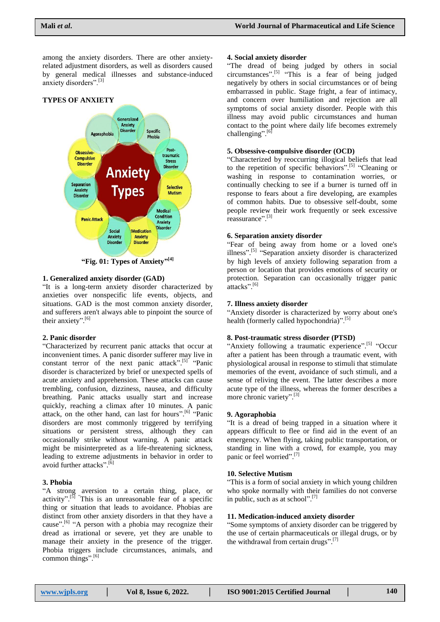among the anxiety disorders. There are other anxietyrelated adjustment disorders, as well as disorders caused by general medical illnesses and substance-induced anxiety disorders".[3]



# **1. Generalized anxiety disorder (GAD)**

"It is a long-term anxiety disorder characterized by anxieties over nonspecific life events, objects, and situations. GAD is the most common anxiety disorder, and sufferers aren't always able to pinpoint the source of their anxiety".<sup>[6]</sup>

#### **2. Panic disorder**

"Characterized by recurrent panic attacks that occur at inconvenient times. A panic disorder sufferer may live in constant terror of the next panic attack".<sup>[5]</sup> "Panic disorder is characterized by brief or unexpected spells of acute anxiety and apprehension. These attacks can cause trembling, confusion, dizziness, nausea, and difficulty breathing. Panic attacks usually start and increase quickly, reaching a climax after 10 minutes. A panic attack, on the other hand, can last for hours".<sup>[6]</sup> "Panic disorders are most commonly triggered by terrifying situations or persistent stress, although they can occasionally strike without warning. A panic attack might be misinterpreted as a life-threatening sickness, leading to extreme adjustments in behavior in order to avoid further attacks".<sup>[6]</sup>

# **3. Phobia**

"A strong aversion to a certain thing, place, or activity".<sup>[5]</sup> "This is an unreasonable fear of a specific thing or situation that leads to avoidance. Phobias are distinct from other anxiety disorders in that they have a cause".<sup>[6]</sup> "A person with a phobia may recognize their dread as irrational or severe, yet they are unable to manage their anxiety in the presence of the trigger. Phobia triggers include circumstances, animals, and common things". [6]

#### **4. Social anxiety disorder**

"The dread of being judged by others in social circumstances". [5] "This is a fear of being judged negatively by others in social circumstances or of being embarrassed in public. Stage fright, a fear of intimacy, and concern over humiliation and rejection are all symptoms of social anxiety disorder. People with this illness may avoid public circumstances and human contact to the point where daily life becomes extremely challenging".<sup>[6]</sup>

# **5. Obsessive-compulsive disorder (OCD)**

"Characterized by reoccurring illogical beliefs that lead to the repetition of specific behaviors".<sup>[5]</sup> "Cleaning or washing in response to contamination worries, or continually checking to see if a burner is turned off in response to fears about a fire developing, are examples of common habits. Due to obsessive self-doubt, some people review their work frequently or seek excessive reassurance". [3]

#### **6. Separation anxiety disorder**

"Fear of being away from home or a loved one's illness".<sup>[5]</sup> "Separation anxiety disorder is characterized by high levels of anxiety following separation from a person or location that provides emotions of security or protection. Separation can occasionally trigger panic attacks". [6]

#### **7. Illness anxiety disorder**

"Anxiety disorder is characterized by worry about one's health (formerly called hypochondria)".<sup>[5]</sup>

# **8. Post-traumatic stress disorder (PTSD)**

"Anxiety following a traumatic experience".<sup>[5]</sup> "Occur after a patient has been through a traumatic event, with physiological arousal in response to stimuli that stimulate memories of the event, avoidance of such stimuli, and a sense of reliving the event. The latter describes a more acute type of the illness, whereas the former describes a more chronic variety".<sup>[3]</sup>

#### **9. Agoraphobia**

"It is a dread of being trapped in a situation where it appears difficult to flee or find aid in the event of an emergency. When flying, taking public transportation, or standing in line with a crowd, for example, you may panic or feel worried".<sup>[7]</sup>

#### **10. Selective Mutism**

"This is a form of social anxiety in which young children who spoke normally with their families do not converse in public, such as at school".<sup>[7]</sup>

#### **11. Medication-induced anxiety disorder**

"Some symptoms of anxiety disorder can be triggered by the use of certain pharmaceuticals or illegal drugs, or by the withdrawal from certain drugs".<sup>[7]</sup>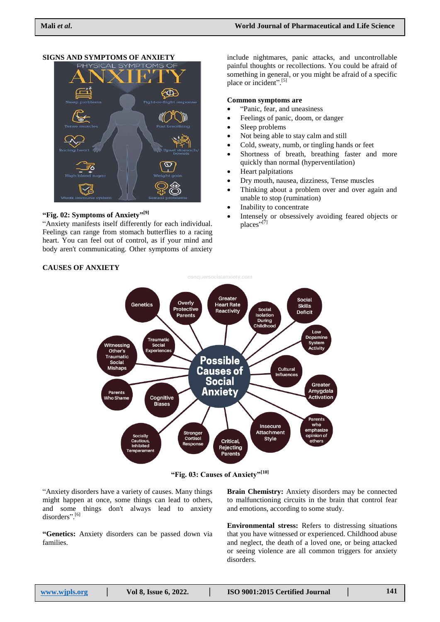# **MPTOMS PHYSICAL**

**SIGNS AND SYMPTOMS OF ANXIETY**

# **"Fig. 02: Symptoms of Anxiety" [9]**

"Anxiety manifests itself differently for each individual. Feelings can range from stomach butterflies to a racing heart. You can feel out of control, as if your mind and body aren't communicating. Other symptoms of anxiety include nightmares, panic attacks, and uncontrollable painful thoughts or recollections. You could be afraid of something in general, or you might be afraid of a specific place or incident".<sup>[5]</sup>

#### **Common symptoms are**

- "Panic, fear, and uneasiness
- Feelings of panic, doom, or danger
- Sleep problems
- Not being able to stay calm and still
- Cold, sweaty, numb, or tingling hands or feet
- Shortness of breath, breathing faster and more quickly than normal (hyperventilation)
- Heart palpitations
- Dry mouth, nausea, dizziness, Tense muscles
- Thinking about a problem over and over again and unable to stop (rumination)
- Inability to concentrate
- Intensely or obsessively avoiding feared objects or places"<sup>[7]</sup>

# **CAUSES OF ANXIETY**



**"Fig. 03: Causes of Anxiety"[10]**

"Anxiety disorders have a variety of causes. Many things might happen at once, some things can lead to others, and some things don't always lead to anxiety disorders".<sup>[6]</sup>

**"Genetics:** Anxiety disorders can be passed down via families.

**Brain Chemistry:** Anxiety disorders may be connected to malfunctioning circuits in the brain that control fear and emotions, according to some study.

**Environmental stress:** Refers to distressing situations that you have witnessed or experienced. Childhood abuse and neglect, the death of a loved one, or being attacked or seeing violence are all common triggers for anxiety disorders.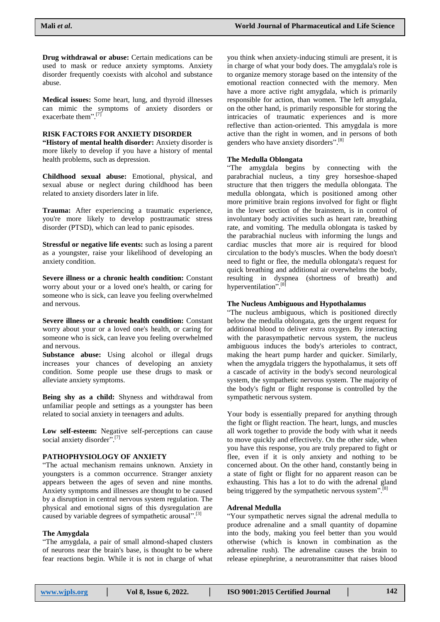**Drug withdrawal or abuse:** Certain medications can be used to mask or reduce anxiety symptoms. Anxiety disorder frequently coexists with alcohol and substance abuse.

**Medical issues:** Some heart, lung, and thyroid illnesses can mimic the symptoms of anxiety disorders or exacerbate them".<sup>[7]</sup>

# **RISK FACTORS FOR ANXIETY DISORDER**

**"History of mental health disorder:** Anxiety disorder is more likely to develop if you have a history of mental health problems, such as depression.

**Childhood sexual abuse:** Emotional, physical, and sexual abuse or neglect during childhood has been related to anxiety disorders later in life.

**Trauma:** After experiencing a traumatic experience, you're more likely to develop posttraumatic stress disorder (PTSD), which can lead to panic episodes.

**Stressful or negative life events:** such as losing a parent as a youngster, raise your likelihood of developing an anxiety condition.

**Severe illness or a chronic health condition:** Constant worry about your or a loved one's health, or caring for someone who is sick, can leave you feeling overwhelmed and nervous.

**Severe illness or a chronic health condition:** Constant worry about your or a loved one's health, or caring for someone who is sick, can leave you feeling overwhelmed and nervous.

**Substance abuse:** Using alcohol or illegal drugs increases your chances of developing an anxiety condition. Some people use these drugs to mask or alleviate anxiety symptoms.

**Being shy as a child:** Shyness and withdrawal from unfamiliar people and settings as a youngster has been related to social anxiety in teenagers and adults.

**Low self-esteem:** Negative self-perceptions can cause social anxiety disorder".<sup>[7]</sup>

# **PATHOPHYSIOLOGY OF ANXIETY**

"The actual mechanism remains unknown. Anxiety in youngsters is a common occurrence. Stranger anxiety appears between the ages of seven and nine months. Anxiety symptoms and illnesses are thought to be caused by a disruption in central nervous system regulation. The physical and emotional signs of this dysregulation are caused by variable degrees of sympathetic arousal".<sup>[3]</sup>

#### **The Amygdala**

"The amygdala, a pair of small almond-shaped clusters of neurons near the brain's base, is thought to be where fear reactions begin. While it is not in charge of what

you think when anxiety-inducing stimuli are present, it is in charge of what your body does. The amygdala's role is to organize memory storage based on the intensity of the emotional reaction connected with the memory. Men have a more active right amygdala, which is primarily responsible for action, than women. The left amygdala, on the other hand, is primarily responsible for storing the intricacies of traumatic experiences and is more reflective than action-oriented. This amygdala is more active than the right in women, and in persons of both genders who have anxiety disorders". [8]

#### **The Medulla Oblongata**

"The amygdala begins by connecting with the parabrachial nucleus, a tiny grey horseshoe-shaped structure that then triggers the medulla oblongata. The medulla oblongata, which is positioned among other more primitive brain regions involved for fight or flight in the lower section of the brainstem, is in control of involuntary body activities such as heart rate, breathing rate, and vomiting. The medulla oblongata is tasked by the parabrachial nucleus with informing the lungs and cardiac muscles that more air is required for blood circulation to the body's muscles. When the body doesn't need to fight or flee, the medulla oblongata's request for quick breathing and additional air overwhelms the body, resulting in dyspnea (shortness of breath) and hyperventilation".<sup>[8]</sup>

#### **The Nucleus Ambiguous and Hypothalamus**

"The nucleus ambiguous, which is positioned directly below the medulla oblongata, gets the urgent request for additional blood to deliver extra oxygen. By interacting with the parasympathetic nervous system, the nucleus ambiguous induces the body's arterioles to contract, making the heart pump harder and quicker. Similarly, when the amygdala triggers the hypothalamus, it sets off a cascade of activity in the body's second neurological system, the sympathetic nervous system. The majority of the body's fight or flight response is controlled by the sympathetic nervous system.

Your body is essentially prepared for anything through the fight or flight reaction. The heart, lungs, and muscles all work together to provide the body with what it needs to move quickly and effectively. On the other side, when you have this response, you are truly prepared to fight or flee, even if it is only anxiety and nothing to be concerned about. On the other hand, constantly being in a state of fight or flight for no apparent reason can be exhausting. This has a lot to do with the adrenal gland being triggered by the sympathetic nervous system".<sup>[8]</sup>

# **Adrenal Medulla**

"Your sympathetic nerves signal the adrenal medulla to produce adrenaline and a small quantity of dopamine into the body, making you feel better than you would otherwise (which is known in combination as the adrenaline rush). The adrenaline causes the brain to release epinephrine, a neurotransmitter that raises blood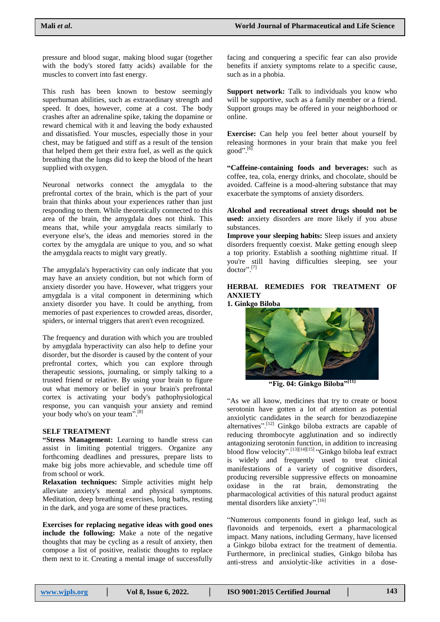pressure and blood sugar, making blood sugar (together with the body's stored fatty acids) available for the muscles to convert into fast energy.

This rush has been known to bestow seemingly superhuman abilities, such as extraordinary strength and speed. It does, however, come at a cost. The body crashes after an adrenaline spike, taking the dopamine or reward chemical with it and leaving the body exhausted and dissatisfied. Your muscles, especially those in your chest, may be fatigued and stiff as a result of the tension that helped them get their extra fuel, as well as the quick breathing that the lungs did to keep the blood of the heart supplied with oxygen.

Neuronal networks connect the amygdala to the prefrontal cortex of the brain, which is the part of your brain that thinks about your experiences rather than just responding to them. While theoretically connected to this area of the brain, the amygdala does not think. This means that, while your amygdala reacts similarly to everyone else's, the ideas and memories stored in the cortex by the amygdala are unique to you, and so what the amygdala reacts to might vary greatly.

The amygdala's hyperactivity can only indicate that you may have an anxiety condition, but not which form of anxiety disorder you have. However, what triggers your amygdala is a vital component in determining which anxiety disorder you have. It could be anything, from memories of past experiences to crowded areas, disorder, spiders, or internal triggers that aren't even recognized.

The frequency and duration with which you are troubled by amygdala hyperactivity can also help to define your disorder, but the disorder is caused by the content of your prefrontal cortex, which you can explore through therapeutic sessions, journaling, or simply talking to a trusted friend or relative. By using your brain to figure out what memory or belief in your brain's prefrontal cortex is activating your body's pathophysiological response, you can vanquish your anxiety and remind your body who's on your team".<sup>[8]</sup>

# **SELF TREATMENT**

**"Stress Management:** Learning to handle stress can assist in limiting potential triggers. Organize any forthcoming deadlines and pressures, prepare lists to make big jobs more achievable, and schedule time off from school or work.

**Relaxation techniques:** Simple activities might help alleviate anxiety's mental and physical symptoms. Meditation, deep breathing exercises, long baths, resting in the dark, and yoga are some of these practices.

**Exercises for replacing negative ideas with good ones include the following:** Make a note of the negative thoughts that may be cycling as a result of anxiety, then compose a list of positive, realistic thoughts to replace them next to it. Creating a mental image of successfully

facing and conquering a specific fear can also provide benefits if anxiety symptoms relate to a specific cause, such as in a phobia.

**Support network:** Talk to individuals you know who will be supportive, such as a family member or a friend. Support groups may be offered in your neighborhood or online.

**Exercise:** Can help you feel better about yourself by releasing hormones in your brain that make you feel good". [6]

**"Caffeine-containing foods and beverages:** such as coffee, tea, cola, energy drinks, and chocolate, should be avoided. Caffeine is a mood-altering substance that may exacerbate the symptoms of anxiety disorders.

**Alcohol and recreational street drugs should not be used:** anxiety disorders are more likely if you abuse substances.

**Improve your sleeping habits:** Sleep issues and anxiety disorders frequently coexist. Make getting enough sleep a top priority. Establish a soothing nighttime ritual. If you're still having difficulties sleeping, see your doctor". [7]

# **HERBAL REMEDIES FOR TREATMENT OF ANXIETY**

**1. Ginkgo Biloba**



**"Fig. 04: Ginkgo Biloba"[11]**

"As we all know, medicines that try to create or boost serotonin have gotten a lot of attention as potential anxiolytic candidates in the search for benzodiazepine alternatives".[12] Ginkgo biloba extracts are capable of reducing thrombocyte agglutination and so indirectly antagonizing serotonin function, in addition to increasing blood flow velocity".<sup>[13][14][15]</sup> "Ginkgo biloba leaf extract is widely and frequently used to treat clinical manifestations of a variety of cognitive disorders, producing reversible suppressive effects on monoamine oxidase in the rat brain, demonstrating the pharmacological activities of this natural product against mental disorders like anxiety".<sup>[16]</sup>

"Numerous components found in ginkgo leaf, such as flavonoids and terpenoids, exert a pharmacological impact. Many nations, including Germany, have licensed a Ginkgo biloba extract for the treatment of dementia. Furthermore, in preclinical studies, Ginkgo biloba has anti-stress and anxiolytic-like activities in a dose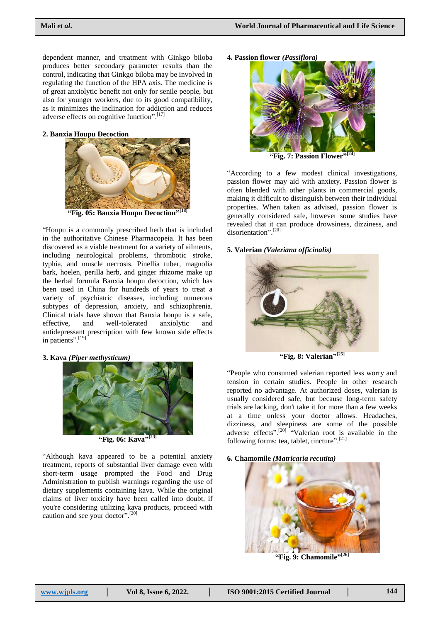dependent manner, and treatment with Ginkgo biloba produces better secondary parameter results than the control, indicating that Ginkgo biloba may be involved in regulating the function of the HPA axis. The medicine is of great anxiolytic benefit not only for senile people, but also for younger workers, due to its good compatibility, as it minimizes the inclination for addiction and reduces adverse effects on cognitive function".<sup>[17]</sup>

## **2. Banxia Houpu Decoction**



**"Fig. 05: Banxia Houpu Decoction" [18]**

"Houpu is a commonly prescribed herb that is included in the authoritative Chinese Pharmacopeia. It has been discovered as a viable treatment for a variety of ailments, including neurological problems, thrombotic stroke, typhia, and muscle necrosis. Pinellia tuber, magnolia bark, hoelen, perilla herb, and ginger rhizome make up the herbal formula Banxia houpu decoction, which has been used in China for hundreds of years to treat a variety of psychiatric diseases, including numerous subtypes of depression, anxiety, and schizophrenia. Clinical trials have shown that Banxia houpu is a safe, effective, and well-tolerated anxiolytic and antidepressant prescription with few known side effects in patients". [19]

# **3. Kava** *(Piper methysticum)*



**"Fig. 06: Kava" [23]**

"Although kava appeared to be a potential anxiety treatment, reports of substantial liver damage even with short-term usage prompted the Food and Drug Administration to publish warnings regarding the use of dietary supplements containing kava. While the original claims of liver toxicity have been called into doubt, if you're considering utilizing kava products, proceed with caution and see your doctor".<sup>[20]</sup>

**4. Passion flower** *(Passiflora)*



"According to a few modest clinical investigations, passion flower may aid with anxiety. Passion flower is often blended with other plants in commercial goods, making it difficult to distinguish between their individual properties. When taken as advised, passion flower is generally considered safe, however some studies have revealed that it can produce drowsiness, dizziness, and disorientation".<sup>[20]</sup>

#### **5. Valerian** *(Valeriana officinalis)*



**"Fig. 8: Valerian" [25]**

"People who consumed valerian reported less worry and tension in certain studies. People in other research reported no advantage. At authorized doses, valerian is usually considered safe, but because long-term safety trials are lacking, don't take it for more than a few weeks at a time unless your doctor allows. Headaches, dizziness, and sleepiness are some of the possible adverse effects".<sup>[20]</sup> "Valerian root is available in the following forms: tea, tablet, tincture".<sup>[21]</sup>

#### **6. Chamomile** *(Matricaria recutita)*



**"Fig. 9: Chamomile" [26]**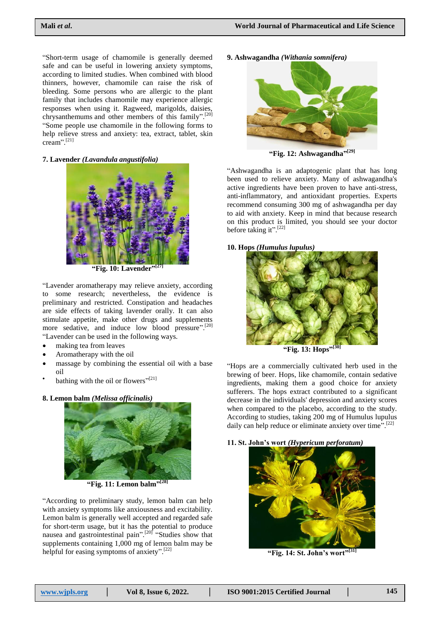"Short-term usage of chamomile is generally deemed safe and can be useful in lowering anxiety symptoms, according to limited studies. When combined with blood thinners, however, chamomile can raise the risk of bleeding. Some persons who are allergic to the plant family that includes chamomile may experience allergic responses when using it. Ragweed, marigolds, daisies, chrysanthemums and other members of this family".<sup>[20]</sup> "Some people use chamomile in the following forms to help relieve stress and anxiety: tea, extract, tablet, skin cream". [21]

**7. Lavender** *(Lavandula angustifolia)*



**"Fig. 10: Lavender" [27]**

"Lavender aromatherapy may relieve anxiety, according to some research; nevertheless, the evidence is preliminary and restricted. Constipation and headaches are side effects of taking lavender orally. It can also stimulate appetite, make other drugs and supplements more sedative, and induce low blood pressure".<sup>[20]</sup> "Lavender can be used in the following ways.

- making tea from leaves
- Aromatherapy with the oil
- massage by combining the essential oil with a base oil
- $\bullet$ bathing with the oil or flowers" $[21]$

# **8. Lemon balm** *(Melissa officinalis)*



**"Fig. 11: Lemon balm" [28]**

"According to preliminary study, lemon balm can help with anxiety symptoms like anxiousness and excitability. Lemon balm is generally well accepted and regarded safe for short-term usage, but it has the potential to produce nausea and gastrointestinal pain".<sup>[20]</sup> "Studies show that supplements containing 1,000 mg of lemon balm may be helpful for easing symptoms of anxiety".<sup>[22]</sup>

**9. Ashwagandha** *(Withania somnifera)*



**"Fig. 12: Ashwagandha" [29]**

"Ashwagandha is an adaptogenic plant that has long been used to relieve anxiety. Many of ashwagandha's active ingredients have been proven to have anti-stress, anti-inflammatory, and antioxidant properties. Experts recommend consuming 300 mg of ashwagandha per day to aid with anxiety. Keep in mind that because research on this product is limited, you should see your doctor before taking it".<sup>[22]</sup>

# **10. Hops** *(Humulus lupulus)*



**"Fig. 13: Hops" [30]**

"Hops are a commercially cultivated herb used in the brewing of beer. Hops, like chamomile, contain sedative ingredients, making them a good choice for anxiety sufferers. The hops extract contributed to a significant decrease in the individuals' depression and anxiety scores when compared to the placebo, according to the study. According to studies, taking 200 mg of Humulus lupulus daily can help reduce or eliminate anxiety over time".<sup>[22]</sup>





**"Fig. 14: St. John's wort" [31]**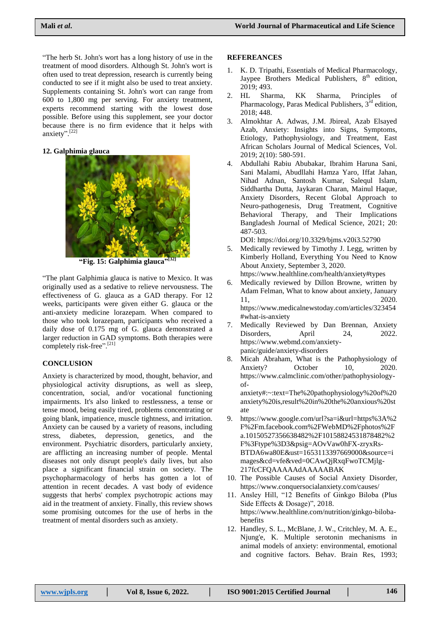"The herb St. John's wort has a long history of use in the treatment of mood disorders. Although St. John's wort is often used to treat depression, research is currently being conducted to see if it might also be used to treat anxiety. Supplements containing St. John's wort can range from 600 to 1,800 mg per serving. For anxiety treatment, experts recommend starting with the lowest dose possible. Before using this supplement, see your doctor because there is no firm evidence that it helps with anxiety". [22]

# **12. Galphimia glauca**



**"Fig. 15: Galphimia glauca" [32]**

"The plant Galphimia glauca is native to Mexico. It was originally used as a sedative to relieve nervousness. The effectiveness of G. glauca as a GAD therapy. For 12 weeks, participants were given either G. glauca or the anti-anxiety medicine lorazepam. When compared to those who took lorazepam, participants who received a daily dose of 0.175 mg of G. glauca demonstrated a larger reduction in GAD symptoms. Both therapies were completely risk-free".<sup>[21]</sup>

# **CONCLUSION**

Anxiety is characterized by mood, thought, behavior, and physiological activity disruptions, as well as sleep, concentration, social, and/or vocational functioning impairments. It's also linked to restlessness, a tense or tense mood, being easily tired, problems concentrating or going blank, impatience, muscle tightness, and irritation. Anxiety can be caused by a variety of reasons, including stress, diabetes, depression, genetics, and the environment. Psychiatric disorders, particularly anxiety, are afflicting an increasing number of people. Mental diseases not only disrupt people's daily lives, but also place a significant financial strain on society. The psychopharmacology of herbs has gotten a lot of attention in recent decades. A vast body of evidence suggests that herbs' complex psychotropic actions may aid in the treatment of anxiety. Finally, this review shows some promising outcomes for the use of herbs in the treatment of mental disorders such as anxiety.

#### **REFEREANCES**

- 1. K. D. Tripathi, Essentials of Medical Pharmacology, Jaypee Brothers Medical Publishers,  $8<sup>th</sup>$  edition, 2019; 493.
- 2. HL Sharma, KK Sharma, Principles of Pharmacology, Paras Medical Publishers,  $3^{\overline{rd}}$  edition, 2018; 448.
- 3. Almokhtar A. Adwas, J.M. Jbireal, Azab Elsayed Azab, Anxiety: Insights into Signs, Symptoms, Etiology, Pathophysiology, and Treatment, East African Scholars Journal of Medical Sciences, Vol. 2019; 2(10): 580-591.
- 4. Abdullahi Rabiu Abubakar, Ibrahim Haruna Sani, Sani Malami, Abudllahi Hamza Yaro, Iffat Jahan, Nihad Adnan, Santosh Kumar, Salequl Islam, Siddhartha Dutta, Jaykaran Charan, Mainul Haque, Anxiety Disorders, Recent Global Approach to Neuro-pathogenesis, Drug Treatment, Cognitive Behavioral Therapy, and Their Implications Bangladesh Journal of Medical Science, 2021; 20: 487-503.

DOI:<https://doi.org/10.3329/bjms.v20i3.52790>

- 5. Medically reviewed by Timothy J. Legg, written by Kimberly Holland, Everything You Need to Know About Anxiety, September 3, 2020. <https://www.healthline.com/health/anxiety#types>
- 6. Medically reviewed by Dillon Browne, written by Adam Felman, What to know about anxiety, January 11, 2020. [https://www.medicalnewstoday.com/articles/323454](https://www.medicalnewstoday.com/articles/323454#what-is-anxiety)
- [#what-is-anxiety](https://www.medicalnewstoday.com/articles/323454#what-is-anxiety) 7. Medically Reviewed by Dan Brennan, Anxiety Disorders, April 24, 2022. [https://www.webmd.com/anxiety](https://www.webmd.com/anxiety-panic/guide/anxiety-disorders)[panic/guide/anxiety-disorders](https://www.webmd.com/anxiety-panic/guide/anxiety-disorders)
- 8. Micah Abraham, What is the Pathophysiology of Anxiety? October 10, 2020. [https://www.calmclinic.com/other/pathophysiology](https://www.calmclinic.com/other/pathophysiology-of-anxiety#:~:text=The%20pathophysiology%20of%20anxiety%20is,result%20in%20the%20anxious%20state)[of-](https://www.calmclinic.com/other/pathophysiology-of-anxiety#:~:text=The%20pathophysiology%20of%20anxiety%20is,result%20in%20the%20anxious%20state)

[anxiety#:~:text=The%20pathophysiology%20of%20](https://www.calmclinic.com/other/pathophysiology-of-anxiety#:~:text=The%20pathophysiology%20of%20anxiety%20is,result%20in%20the%20anxious%20state) [anxiety%20is,result%20in%20the%20anxious%20st](https://www.calmclinic.com/other/pathophysiology-of-anxiety#:~:text=The%20pathophysiology%20of%20anxiety%20is,result%20in%20the%20anxious%20state) [ate](https://www.calmclinic.com/other/pathophysiology-of-anxiety#:~:text=The%20pathophysiology%20of%20anxiety%20is,result%20in%20the%20anxious%20state)

- 9. [https://www.google.com/url?sa=i&url=https%3A%2](https://www.google.com/url?sa=i&url=https%3A%2F%2Fm.facebook.com%2FWebMD%2Fphotos%2Fa.10150527356638482%2F10158824531878482%2F%3Ftype%3D3&psig=AOvVaw0hFX-zryxRs-BTDA6wa80E&ust=1653113397669000&source=images&cd=vfe&ved=0CAwQjRxqFwoTCMjlg-217fcCFQAAAAAdAAAAABAK) [F%2Fm.facebook.com%2FWebMD%2Fphotos%2F](https://www.google.com/url?sa=i&url=https%3A%2F%2Fm.facebook.com%2FWebMD%2Fphotos%2Fa.10150527356638482%2F10158824531878482%2F%3Ftype%3D3&psig=AOvVaw0hFX-zryxRs-BTDA6wa80E&ust=1653113397669000&source=images&cd=vfe&ved=0CAwQjRxqFwoTCMjlg-217fcCFQAAAAAdAAAAABAK) [a.10150527356638482%2F10158824531878482%2](https://www.google.com/url?sa=i&url=https%3A%2F%2Fm.facebook.com%2FWebMD%2Fphotos%2Fa.10150527356638482%2F10158824531878482%2F%3Ftype%3D3&psig=AOvVaw0hFX-zryxRs-BTDA6wa80E&ust=1653113397669000&source=images&cd=vfe&ved=0CAwQjRxqFwoTCMjlg-217fcCFQAAAAAdAAAAABAK) [F%3Ftype%3D3&psig=AOvVaw0hFX-zryxRs-](https://www.google.com/url?sa=i&url=https%3A%2F%2Fm.facebook.com%2FWebMD%2Fphotos%2Fa.10150527356638482%2F10158824531878482%2F%3Ftype%3D3&psig=AOvVaw0hFX-zryxRs-BTDA6wa80E&ust=1653113397669000&source=images&cd=vfe&ved=0CAwQjRxqFwoTCMjlg-217fcCFQAAAAAdAAAAABAK)[BTDA6wa80E&ust=1653113397669000&source=i](https://www.google.com/url?sa=i&url=https%3A%2F%2Fm.facebook.com%2FWebMD%2Fphotos%2Fa.10150527356638482%2F10158824531878482%2F%3Ftype%3D3&psig=AOvVaw0hFX-zryxRs-BTDA6wa80E&ust=1653113397669000&source=images&cd=vfe&ved=0CAwQjRxqFwoTCMjlg-217fcCFQAAAAAdAAAAABAK) [mages&cd=vfe&ved=0CAwQjRxqFwoTCMjlg-](https://www.google.com/url?sa=i&url=https%3A%2F%2Fm.facebook.com%2FWebMD%2Fphotos%2Fa.10150527356638482%2F10158824531878482%2F%3Ftype%3D3&psig=AOvVaw0hFX-zryxRs-BTDA6wa80E&ust=1653113397669000&source=images&cd=vfe&ved=0CAwQjRxqFwoTCMjlg-217fcCFQAAAAAdAAAAABAK)[217fcCFQAAAAAdAAAAABAK](https://www.google.com/url?sa=i&url=https%3A%2F%2Fm.facebook.com%2FWebMD%2Fphotos%2Fa.10150527356638482%2F10158824531878482%2F%3Ftype%3D3&psig=AOvVaw0hFX-zryxRs-BTDA6wa80E&ust=1653113397669000&source=images&cd=vfe&ved=0CAwQjRxqFwoTCMjlg-217fcCFQAAAAAdAAAAABAK)
- 10. The Possible Causes of Social Anxiety Disorder, <https://www.conquersocialanxiety.com/causes/>
- 11. Ansley Hill, "12 Benefits of Ginkgo Biloba (Plus Side Effects & Dosage)", 2018. [https://www.healthline.com/nutrition/ginkgo-biloba](https://www.healthline.com/nutrition/ginkgo-biloba-benefits)[benefits](https://www.healthline.com/nutrition/ginkgo-biloba-benefits)
- 12. Handley, S. L., McBlane, J. W., Critchley, M. A. E., Njung'e, K. Multiple serotonin mechanisms in animal models of anxiety: environmental, emotional and cognitive factors. Behav. Brain Res, 1993;